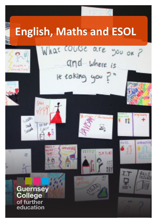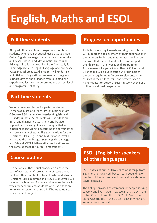# **English, Maths and ESOL**

## **Full-time students**

Alongside their vocational programme, full-time students who have not yet achieved a GCSE grade C/4 in English Language or mathematics undertake an Edexcel English and Mathematics Functional Skills qualification at Level 1 or Level 2 or study for a Cambridge iGCSE in English Language and an Edexcel iGCSE in Mathematics. All students will undertake an initial and diagnostic assessment and be given support, advice and guidance from qualified and experienced lecturers to determine the correct level and programme of study.

#### **Part-time students**

We offer evening classes for part-time students. These take place at our Les Ozouets campus from 6.30pm – 8.30pm on a Wednesday (English) and Thursday (maths). All students will undertake an initial and diagnostic assessment and be given support, advice and guidance from qualified and experienced lecturers to determine the correct level and programme of study. The examinations for the Functional Skills English and Mathematics Level 1 and 2 and the Cambridge iGCSE English Language and Edexcel iGCSE Mathematics qualifications are the same as those for our full-time students.

### **Course outline**

The delivery of these qualifications is an essential part of each student's programme of study and is built into their timetable. Students who undertake a Functional Skills qualification at Level 1 or Level 2 will receive one hour and forty-five minutes tuition each week for each subject. Students who undertake an iGCSE will receive three and a half hours tuition each week for each subject.



### **Progression opportunities**

Aside from working towards securing the skills that will support the achievement of their qualification in their chosen English and mathematics qualification, the skills that the student develops will support their learning in their vocational programme. Achievement of a grade C/4 in their iGCSE or Level 2 Functional Skills qualification will form part of the entry requirement for progression onto other courses in the College, for university entrance or higher education study, or securing work at the end of their vocational programme.



## **ESOL (English for speakers of other languages)**

ESOL classes at our Les Ozouets campus range from Beginners to Advanced, but can vary depending on numbers. If there is sufficient demand, we also offer daytime classes.

The College provides assessments for people seeking to work and live in Guernsey. We also liaise with the British Council to run the IELTS B1 Life Skills exam along with the Life in the UK test, both of which are required for citizenship.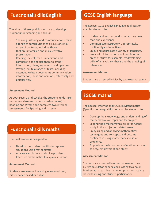### **Functional skills English**

The aims of these qualifications are to develop student understanding and skills in:

- Speaking, listening and communication make a range of contributions to discussions in a range of contexts, including those that are unfamiliar, and make effective presentations.
- Reading select, read, understand and compare texts and use them to gather information, ideas, arguments and opinions.
- Writing write a range of texts, including extended written documents communication information, ideas and opinions, effectively and persuasively.

#### **Assessment Method**

At both Level 1 and Level 2, the students undertake two external exams (paper-based or online) in Reading and Writing and complete two internal assessments for Speaking and Listening.

#### **Functional skills maths**

The qualification is designed to:

- Develop the student's ability to represent situations using mathematics.
- Analyse calculations and solve problems.
- Interpret mathematics to explain situations.

#### **Assessment Method**

Students are assessed in a single, external test, either paper-based or online.

## **GCSE English language**

The Edexcel GCSE English Language qualification enables students to:

- Understand and respond to what they hear, read and experience.
- Communicate accurately, appropriately, confidently and effectively.
- Enjoy and appreciate a variety of language.
- Work with information and ideas in other areas of study, for example, by developing skills of analysis, synthesis and the drawing of inferences.

#### **Assessment Method**

Students are assessed in May by two external exams.

## **iGCSE maths**

The Edexcel International GCSE in Mathematics (Specification A) qualification enables students to:

- Develop their knowledge and understanding of mathematical concepts and techniques.
- Expand their mathematical skills for further study in the subject or related areas.
- Enjoy using and applying mathematical techniques and concepts, and become confident in using mathematics to solve problems.
- Appreciate the importance of mathematics in society, employment and study.

#### **Assessment Method**

Students are assessed in either January or June by two calculator papers, each lasting two hours. Mathematics teaching has an emphasis on activity based learning and student participation.